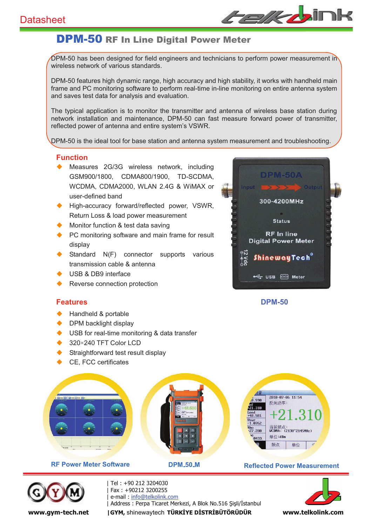

## DPM-50 RF In Line Digital Power Meter

DPM-50 has been designed for field engineers and technicians to perform power measurement in wireless network of various standards.

DPM-50 features high dynamic range, high accuracy and high stability, it works with handheld main frame and PC monitoring software to perform real-time in-line monitoring on entire antenna system and saves test data for analysis and evaluation.

The typical application is to monitor the transmitter and antenna of wireless base station during network installation and maintenance, DPM-50 can fast measure forward power of transmitter, reflected power of antenna and entire system's VSWR.

DPM-50 is the ideal tool for base station and antenna system measurement and troubleshooting.

## **Function**

- Measures 2G/3G wireless network, including GSM900/1800, CDMA800/1900, TD-SCDMA, WCDMA, CDMA2000, WLAN 2.4G & WiMAX or user-defined band
- $\blacklozenge$  High-accuracy forward/reflected power, VSWR, Return Loss & load power measurement
- Monitor function & test data saving
- $\blacklozenge$  PC monitoring software and main frame for result display
- Standard N(F) connector supports various transmission cable & antenna
- u USB & DB9 interface
- Reverse connection protection

# **DPM-50A** Output 300-4200MHz **Status RF** In line **Digital Power Meter** <u>ShinewayTech</u>\* **COM** Meter

### **Features DPM-50**

- Handheld & portable
- DPM backlight display
- USB for real-time monitoring & data transfer
- 320×240 TFT Color LCD
- Straightforward test result display
- CE, FCC certificates







| Tel : +90 212 3204030 -Fax: +90212 3200255 e-mail: info@telkolink.com | Address : Perpa Ticaret Merkezi, A Blok No.516 Şişli/İstanbul North Martin Martin Martin Martin Martin Marti www.gym-tech.net | GYM, shinewaytech TÜRKİYE DİSTRİBÜTÖRÜDÜR